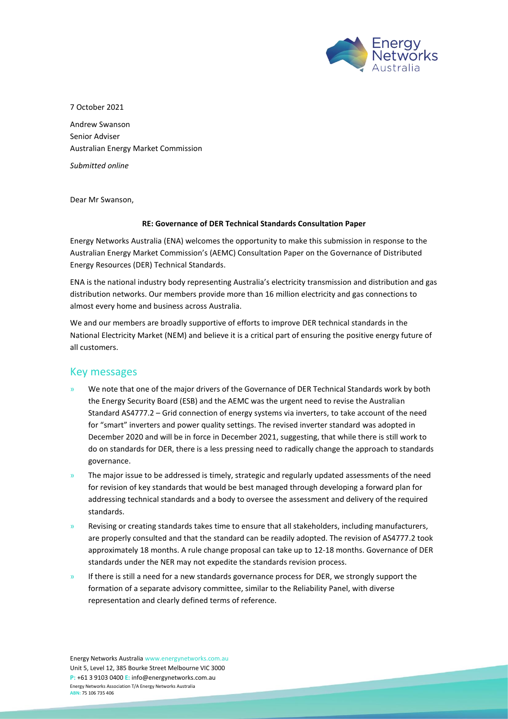

7 October 2021

Andrew Swanson Senior Adviser Australian Energy Market Commission

*Submitted online*

Dear Mr Swanson,

#### **RE: Governance of DER Technical Standards Consultation Paper**

Energy Networks Australia (ENA) welcomes the opportunity to make this submission in response to the Australian Energy Market Commission's (AEMC) Consultation Paper on the Governance of Distributed Energy Resources (DER) Technical Standards.

ENA is the national industry body representing Australia's electricity transmission and distribution and gas distribution networks. Our members provide more than 16 million electricity and gas connections to almost every home and business across Australia.

We and our members are broadly supportive of efforts to improve DER technical standards in the National Electricity Market (NEM) and believe it is a critical part of ensuring the positive energy future of all customers.

#### Key messages

- » We note that one of the major drivers of the Governance of DER Technical Standards work by both the Energy Security Board (ESB) and the AEMC was the urgent need to revise the Australian Standard AS4777.2 – Grid connection of energy systems via inverters, to take account of the need for "smart" inverters and power quality settings. The revised inverter standard was adopted in December 2020 and will be in force in December 2021, suggesting, that while there is still work to do on standards for DER, there is a less pressing need to radically change the approach to standards governance.
- » The major issue to be addressed is timely, strategic and regularly updated assessments of the need for revision of key standards that would be best managed through developing a forward plan for addressing technical standards and a body to oversee the assessment and delivery of the required standards.
- » Revising or creating standards takes time to ensure that all stakeholders, including manufacturers, are properly consulted and that the standard can be readily adopted. The revision of AS4777.2 took approximately 18 months. A rule change proposal can take up to 12-18 months. Governance of DER standards under the NER may not expedite the standards revision process.
- If there is still a need for a new standards governance process for DER, we strongly support the formation of a separate advisory committee, similar to the Reliability Panel, with diverse representation and clearly defined terms of reference.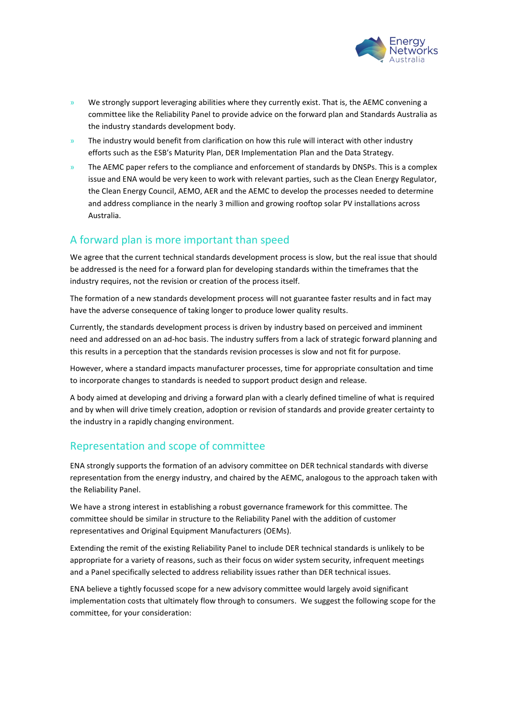

- » We strongly support leveraging abilities where they currently exist. That is, the AEMC convening a committee like the Reliability Panel to provide advice on the forward plan and Standards Australia as the industry standards development body.
- » The industry would benefit from clarification on how this rule will interact with other industry efforts such as the ESB's Maturity Plan, DER Implementation Plan and the Data Strategy.
- » The AEMC paper refers to the compliance and enforcement of standards by DNSPs. This is a complex issue and ENA would be very keen to work with relevant parties, such as the Clean Energy Regulator, the Clean Energy Council, AEMO, AER and the AEMC to develop the processes needed to determine and address compliance in the nearly 3 million and growing rooftop solar PV installations across Australia.

# A forward plan is more important than speed

We agree that the current technical standards development process is slow, but the real issue that should be addressed is the need for a forward plan for developing standards within the timeframes that the industry requires, not the revision or creation of the process itself.

The formation of a new standards development process will not guarantee faster results and in fact may have the adverse consequence of taking longer to produce lower quality results.

Currently, the standards development process is driven by industry based on perceived and imminent need and addressed on an ad-hoc basis. The industry suffers from a lack of strategic forward planning and this results in a perception that the standards revision processes is slow and not fit for purpose.

However, where a standard impacts manufacturer processes, time for appropriate consultation and time to incorporate changes to standards is needed to support product design and release.

A body aimed at developing and driving a forward plan with a clearly defined timeline of what is required and by when will drive timely creation, adoption or revision of standards and provide greater certainty to the industry in a rapidly changing environment.

## Representation and scope of committee

ENA strongly supports the formation of an advisory committee on DER technical standards with diverse representation from the energy industry, and chaired by the AEMC, analogous to the approach taken with the Reliability Panel.

We have a strong interest in establishing a robust governance framework for this committee. The committee should be similar in structure to the Reliability Panel with the addition of customer representatives and Original Equipment Manufacturers (OEMs).

Extending the remit of the existing Reliability Panel to include DER technical standards is unlikely to be appropriate for a variety of reasons, such as their focus on wider system security, infrequent meetings and a Panel specifically selected to address reliability issues rather than DER technical issues.

ENA believe a tightly focussed scope for a new advisory committee would largely avoid significant implementation costs that ultimately flow through to consumers. We suggest the following scope for the committee, for your consideration: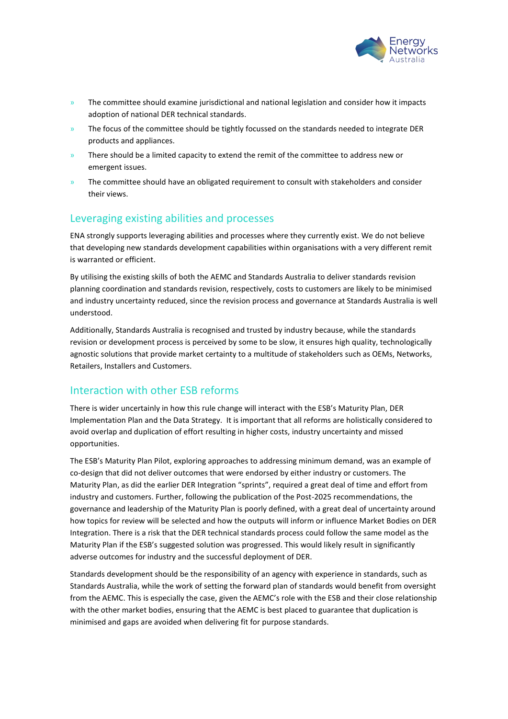

- » The committee should examine jurisdictional and national legislation and consider how it impacts adoption of national DER technical standards.
- » The focus of the committee should be tightly focussed on the standards needed to integrate DER products and appliances.
- » There should be a limited capacity to extend the remit of the committee to address new or emergent issues.
- » The committee should have an obligated requirement to consult with stakeholders and consider their views.

# Leveraging existing abilities and processes

ENA strongly supports leveraging abilities and processes where they currently exist. We do not believe that developing new standards development capabilities within organisations with a very different remit is warranted or efficient.

By utilising the existing skills of both the AEMC and Standards Australia to deliver standards revision planning coordination and standards revision, respectively, costs to customers are likely to be minimised and industry uncertainty reduced, since the revision process and governance at Standards Australia is well understood.

Additionally, Standards Australia is recognised and trusted by industry because, while the standards revision or development process is perceived by some to be slow, it ensures high quality, technologically agnostic solutions that provide market certainty to a multitude of stakeholders such as OEMs, Networks, Retailers, Installers and Customers.

## Interaction with other ESB reforms

There is wider uncertainly in how this rule change will interact with the ESB's Maturity Plan, DER Implementation Plan and the Data Strategy. It is important that all reforms are holistically considered to avoid overlap and duplication of effort resulting in higher costs, industry uncertainty and missed opportunities.

The ESB's Maturity Plan Pilot, exploring approaches to addressing minimum demand, was an example of co-design that did not deliver outcomes that were endorsed by either industry or customers. The Maturity Plan, as did the earlier DER Integration "sprints", required a great deal of time and effort from industry and customers. Further, following the publication of the Post-2025 recommendations, the governance and leadership of the Maturity Plan is poorly defined, with a great deal of uncertainty around how topics for review will be selected and how the outputs will inform or influence Market Bodies on DER Integration. There is a risk that the DER technical standards process could follow the same model as the Maturity Plan if the ESB's suggested solution was progressed. This would likely result in significantly adverse outcomes for industry and the successful deployment of DER.

Standards development should be the responsibility of an agency with experience in standards, such as Standards Australia, while the work of setting the forward plan of standards would benefit from oversight from the AEMC. This is especially the case, given the AEMC's role with the ESB and their close relationship with the other market bodies, ensuring that the AEMC is best placed to guarantee that duplication is minimised and gaps are avoided when delivering fit for purpose standards.